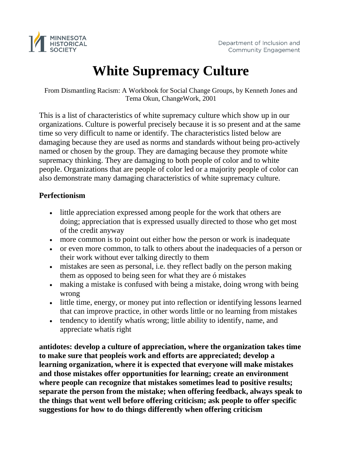

# **White Supremacy Culture**

From Dismantling Racism: A Workbook for Social Change Groups, by Kenneth Jones and Tema Okun, ChangeWork, 2001

This is a list of characteristics of white supremacy culture which show up in our organizations. Culture is powerful precisely because it is so present and at the same time so very difficult to name or identify. The characteristics listed below are damaging because they are used as norms and standards without being pro-actively named or chosen by the group. They are damaging because they promote white supremacy thinking. They are damaging to both people of color and to white people. Organizations that are people of color led or a majority people of color can also demonstrate many damaging characteristics of white supremacy culture.

## **Perfectionism**

- little appreciation expressed among people for the work that others are doing; appreciation that is expressed usually directed to those who get most of the credit anyway
- more common is to point out either how the person or work is inadequate
- or even more common, to talk to others about the inadequacies of a person or their work without ever talking directly to them
- mistakes are seen as personal, i.e. they reflect badly on the person making them as opposed to being seen for what they are ó mistakes
- making a mistake is confused with being a mistake, doing wrong with being wrong
- little time, energy, or money put into reflection or identifying lessons learned that can improve practice, in other words little or no learning from mistakes
- tendency to identify whatís wrong; little ability to identify, name, and appreciate whatís right

**antidotes: develop a culture of appreciation, where the organization takes time to make sure that peopleís work and efforts are appreciated; develop a learning organization, where it is expected that everyone will make mistakes and those mistakes offer opportunities for learning; create an environment where people can recognize that mistakes sometimes lead to positive results; separate the person from the mistake; when offering feedback, always speak to the things that went well before offering criticism; ask people to offer specific suggestions for how to do things differently when offering criticism**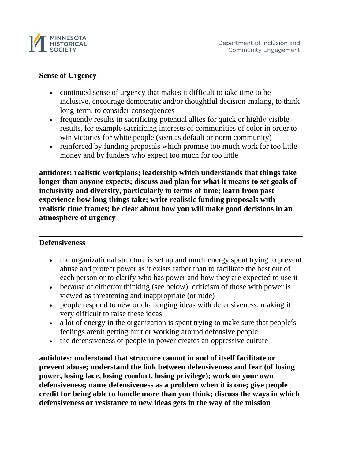

#### **Sense of Urgency**

- continued sense of urgency that makes it difficult to take time to be inclusive, encourage democratic and/or thoughtful decision-making, to think long-term, to consider consequences
- frequently results in sacrificing potential allies for quick or highly visible results, for example sacrificing interests of communities of color in order to win victories for white people (seen as default or norm community)
- reinforced by funding proposals which promise too much work for too little money and by funders who expect too much for too little

**antidotes: realistic workplans; leadership which understands that things take longer than anyone expects; discuss and plan for what it means to set goals of inclusivity and diversity, particularly in terms of time; learn from past experience how long things take; write realistic funding proposals with realistic time frames; be clear about how you will make good decisions in an atmosphere of urgency**

#### **Defensiveness**

- the organizational structure is set up and much energy spent trying to prevent abuse and protect power as it exists rather than to facilitate the best out of each person or to clarify who has power and how they are expected to use it
- because of either/or thinking (see below), criticism of those with power is viewed as threatening and inappropriate (or rude)
- people respond to new or challenging ideas with defensiveness, making it very difficult to raise these ideas
- a lot of energy in the organization is spent trying to make sure that peopleis feelings arenít getting hurt or working around defensive people
- the defensiveness of people in power creates an oppressive culture

**antidotes: understand that structure cannot in and of itself facilitate or prevent abuse; understand the link between defensiveness and fear (of losing power, losing face, losing comfort, losing privilege); work on your own defensiveness; name defensiveness as a problem when it is one; give people credit for being able to handle more than you think; discuss the ways in which defensiveness or resistance to new ideas gets in the way of the mission**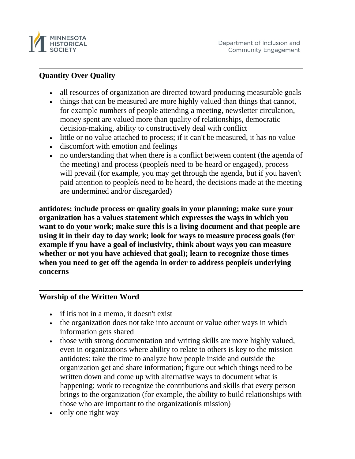

## **Quantity Over Quality**

- all resources of organization are directed toward producing measurable goals
- things that can be measured are more highly valued than things that cannot, for example numbers of people attending a meeting, newsletter circulation, money spent are valued more than quality of relationships, democratic decision-making, ability to constructively deal with conflict
- little or no value attached to process; if it can't be measured, it has no value
- discomfort with emotion and feelings
- no understanding that when there is a conflict between content (the agenda of the meeting) and process (peopleís need to be heard or engaged), process will prevail (for example, you may get through the agenda, but if you haven't paid attention to peopleís need to be heard, the decisions made at the meeting are undermined and/or disregarded)

**antidotes: include process or quality goals in your planning; make sure your organization has a values statement which expresses the ways in which you want to do your work; make sure this is a living document and that people are using it in their day to day work; look for ways to measure process goals (for example if you have a goal of inclusivity, think about ways you can measure whether or not you have achieved that goal); learn to recognize those times when you need to get off the agenda in order to address peopleís underlying concerns**

## **Worship of the Written Word**

- if itís not in a memo, it doesn't exist
- the organization does not take into account or value other ways in which information gets shared
- those with strong documentation and writing skills are more highly valued, even in organizations where ability to relate to others is key to the mission antidotes: take the time to analyze how people inside and outside the organization get and share information; figure out which things need to be written down and come up with alternative ways to document what is happening; work to recognize the contributions and skills that every person brings to the organization (for example, the ability to build relationships with those who are important to the organizationís mission)
- only one right way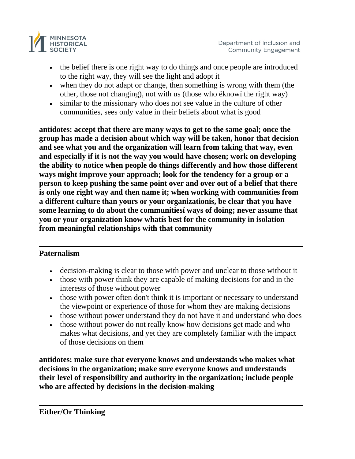

- the belief there is one right way to do things and once people are introduced to the right way, they will see the light and adopt it
- when they do not adapt or change, then something is wrong with them (the other, those not changing), not with us (those who ëknowí the right way)
- similar to the missionary who does not see value in the culture of other communities, sees only value in their beliefs about what is good

**antidotes: accept that there are many ways to get to the same goal; once the group has made a decision about which way will be taken, honor that decision and see what you and the organization will learn from taking that way, even and especially if it is not the way you would have chosen; work on developing the ability to notice when people do things differently and how those different ways might improve your approach; look for the tendency for a group or a person to keep pushing the same point over and over out of a belief that there is only one right way and then name it; when working with communities from a different culture than yours or your organizationís, be clear that you have some learning to do about the communitiesí ways of doing; never assume that you or your organization know whatís best for the community in isolation from meaningful relationships with that community**

## **Paternalism**

- decision-making is clear to those with power and unclear to those without it
- those with power think they are capable of making decisions for and in the interests of those without power
- those with power often don't think it is important or necessary to understand the viewpoint or experience of those for whom they are making decisions
- those without power understand they do not have it and understand who does
- those without power do not really know how decisions get made and who makes what decisions, and yet they are completely familiar with the impact of those decisions on them

**antidotes: make sure that everyone knows and understands who makes what decisions in the organization; make sure everyone knows and understands their level of responsibility and authority in the organization; include people who are affected by decisions in the decision-making**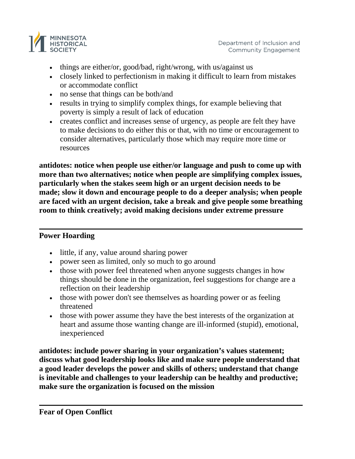

- things are either/or, good/bad, right/wrong, with us/against us
- closely linked to perfectionism in making it difficult to learn from mistakes or accommodate conflict
- no sense that things can be both/and
- results in trying to simplify complex things, for example believing that poverty is simply a result of lack of education
- creates conflict and increases sense of urgency, as people are felt they have to make decisions to do either this or that, with no time or encouragement to consider alternatives, particularly those which may require more time or resources

**antidotes: notice when people use either/or language and push to come up with more than two alternatives; notice when people are simplifying complex issues, particularly when the stakes seem high or an urgent decision needs to be made; slow it down and encourage people to do a deeper analysis; when people are faced with an urgent decision, take a break and give people some breathing room to think creatively; avoid making decisions under extreme pressure**

## **Power Hoarding**

- little, if any, value around sharing power
- power seen as limited, only so much to go around
- those with power feel threatened when anyone suggests changes in how things should be done in the organization, feel suggestions for change are a reflection on their leadership
- those with power don't see themselves as hoarding power or as feeling threatened
- those with power assume they have the best interests of the organization at heart and assume those wanting change are ill-informed (stupid), emotional, inexperienced

**antidotes: include power sharing in your organization's values statement; discuss what good leadership looks like and make sure people understand that a good leader develops the power and skills of others; understand that change is inevitable and challenges to your leadership can be healthy and productive; make sure the organization is focused on the mission**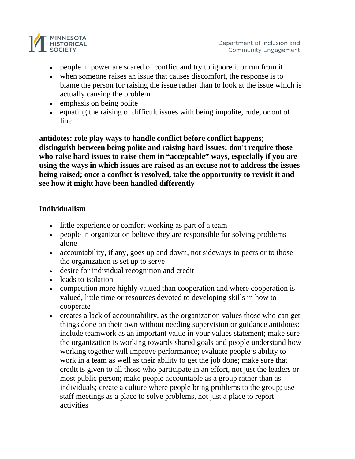

- people in power are scared of conflict and try to ignore it or run from it
- when some one raises an issue that causes discomfort, the response is to blame the person for raising the issue rather than to look at the issue which is actually causing the problem
- emphasis on being polite
- equating the raising of difficult issues with being impolite, rude, or out of line

**antidotes: role play ways to handle conflict before conflict happens; distinguish between being polite and raising hard issues; don't require those who raise hard issues to raise them in "acceptable" ways, especially if you are using the ways in which issues are raised as an excuse not to address the issues being raised; once a conflict is resolved, take the opportunity to revisit it and see how it might have been handled differently**

#### **Individualism**

- little experience or comfort working as part of a team
- people in organization believe they are responsible for solving problems alone
- accountability, if any, goes up and down, not sideways to peers or to those the organization is set up to serve
- desire for individual recognition and credit
- leads to isolation
- competition more highly valued than cooperation and where cooperation is valued, little time or resources devoted to developing skills in how to cooperate
- creates a lack of accountability, as the organization values those who can get things done on their own without needing supervision or guidance antidotes: include teamwork as an important value in your values statement; make sure the organization is working towards shared goals and people understand how working together will improve performance; evaluate people's ability to work in a team as well as their ability to get the job done; make sure that credit is given to all those who participate in an effort, not just the leaders or most public person; make people accountable as a group rather than as individuals; create a culture where people bring problems to the group; use staff meetings as a place to solve problems, not just a place to report activities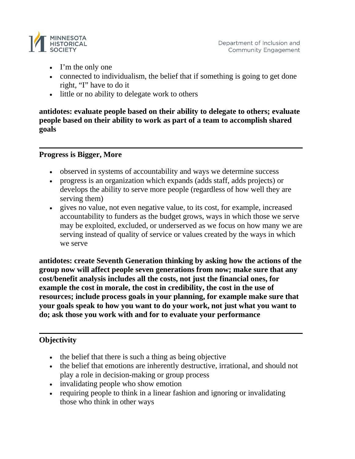

- I'm the only one
- connected to individualism, the belief that if something is going to get done right, "I" have to do it
- little or no ability to delegate work to others

**antidotes: evaluate people based on their ability to delegate to others; evaluate people based on their ability to work as part of a team to accomplish shared goals**

#### **Progress is Bigger, More**

- observed in systems of accountability and ways we determine success
- progress is an organization which expands (adds staff, adds projects) or develops the ability to serve more people (regardless of how well they are serving them)
- gives no value, not even negative value, to its cost, for example, increased accountability to funders as the budget grows, ways in which those we serve may be exploited, excluded, or underserved as we focus on how many we are serving instead of quality of service or values created by the ways in which we serve

**antidotes: create Seventh Generation thinking by asking how the actions of the group now will affect people seven generations from now; make sure that any cost/benefit analysis includes all the costs, not just the financial ones, for example the cost in morale, the cost in credibility, the cost in the use of resources; include process goals in your planning, for example make sure that your goals speak to how you want to do your work, not just what you want to do; ask those you work with and for to evaluate your performance**

## **Objectivity**

- the belief that there is such a thing as being objective
- the belief that emotions are inherently destructive, irrational, and should not play a role in decision-making or group process
- invalidating people who show emotion
- requiring people to think in a linear fashion and ignoring or invalidating those who think in other ways